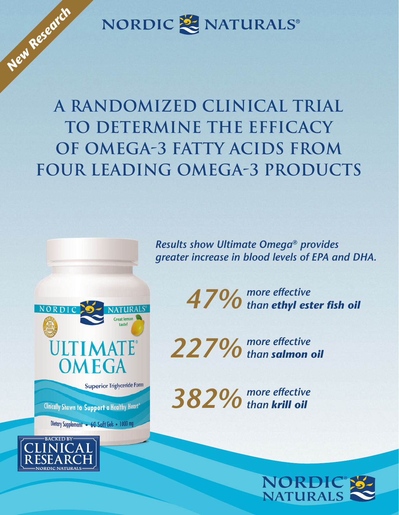NORDIC & NATURALS®

**A Randomized Clinical Trial to Determine the Efficacy of Omega-3 Fatty Acids from Four Leading Omega-3 Products**

> *Results show Ultimate Omega® provides greater increase in blood levels of EPA and DHA.*

> > *47% more effective than ethyl ester fish oil*

*227% more effective than salmon oil* 

*382% more effective than krill oil* 



NORDI **NATHRAI** ULTIMATE **OMEGA Superior Triglyceride Form** Clinically Shown to Support a Healthy Heart\* Dietary Supplement . 60 Soft Gels . 1000 mg



*New Research*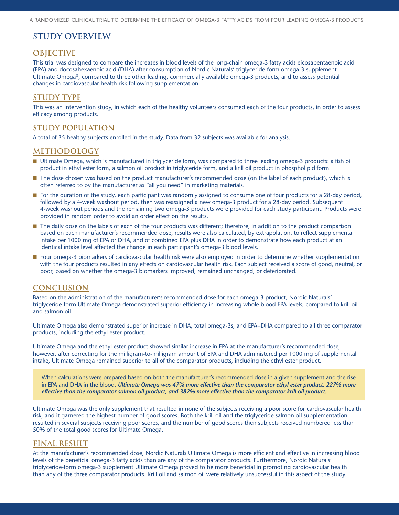# **STUDY OVERVIEW**

#### **OBJECTIVE**

This trial was designed to compare the increases in blood levels of the long-chain omega-3 fatty acids eicosapentaenoic acid (EPA) and docosahexaenoic acid (DHA) after consumption of Nordic Naturals' triglyceride-form omega-3 supplement Ultimate Omega®, compared to three other leading, commercially available omega-3 products, and to assess potential changes in cardiovascular health risk following supplementation.

#### **STUDY TYPE**

This was an intervention study, in which each of the healthy volunteers consumed each of the four products, in order to assess efficacy among products.

### **STUDY POPULATION**

A total of 35 healthy subjects enrolled in the study. Data from 32 subjects was available for analysis.

#### **METHODOLOGY**

- Ultimate Omega, which is manufactured in triglyceride form, was compared to three leading omega-3 products: a fish oil product in ethyl ester form, a salmon oil product in triglyceride form, and a krill oil product in phospholipid form.
- The dose chosen was based on the product manufacturer's recommended dose (on the label of each product), which is often referred to by the manufacturer as "all you need" in marketing materials.
- For the duration of the study, each participant was randomly assigned to consume one of four products for a 28-day period, followed by a 4-week washout period, then was reassigned a new omega-3 product for a 28-day period. Subsequent 4-week washout periods and the remaining two omega-3 products were provided for each study participant. Products were provided in random order to avoid an order effect on the results.
- The daily dose on the labels of each of the four products was different; therefore, in addition to the product comparison based on each manufacturer's recommended dose, results were also calculated, by extrapolation, to reflect supplemental intake per 1000 mg of EPA or DHA, and of combined EPA plus DHA in order to demonstrate how each product at an identical intake level affected the change in each participant's omega-3 blood levels.
- **n** Four omega-3 biomarkers of cardiovascular health risk were also employed in order to determine whether supplementation with the four products resulted in any effects on cardiovascular health risk. Each subject received a score of good, neutral, or poor, based on whether the omega-3 biomarkers improved, remained unchanged, or deteriorated.

#### **CONCLUSION**

Based on the administration of the manufacturer's recommended dose for each omega-3 product, Nordic Naturals' triglyceride-form Ultimate Omega demonstrated superior efficiency in increasing whole blood EPA levels, compared to krill oil and salmon oil.

Ultimate Omega also demonstrated superior increase in DHA, total omega-3s, and EPA+DHA compared to all three comparator products, including the ethyl ester product.

Ultimate Omega and the ethyl ester product showed similar increase in EPA at the manufacturer's recommended dose; however, after correcting for the milligram-to-milligram amount of EPA and DHA administered per 1000 mg of supplemental intake, Ultimate Omega remained superior to all of the comparator products, including the ethyl ester product.

When calculations were prepared based on both the manufacturer's recommended dose in a given supplement and the rise in EPA and DHA in the blood, *Ultimate Omega was 47% more effective than the comparator ethyl ester product, 227% more effective than the comparator salmon oil product, and 382% more effective than the comparator krill oil product.* 

Ultimate Omega was the only supplement that resulted in none of the subjects receiving a poor score for cardiovascular health risk, and it garnered the highest number of good scores. Both the krill oil and the triglyceride salmon oil supplementation resulted in several subjects receiving poor scores, and the number of good scores their subjects received numbered less than 50% of the total good scores for Ultimate Omega.

# **FINAL RESULT**

At the manufacturer's recommended dose, Nordic Naturals Ultimate Omega is more efficient and effective in increasing blood levels of the beneficial omega-3 fatty acids than are any of the comparator products. Furthermore, Nordic Naturals' triglyceride-form omega-3 supplement Ultimate Omega proved to be more beneficial in promoting cardiovascular health than any of the three comparator products. Krill oil and salmon oil were relatively unsuccessful in this aspect of the study.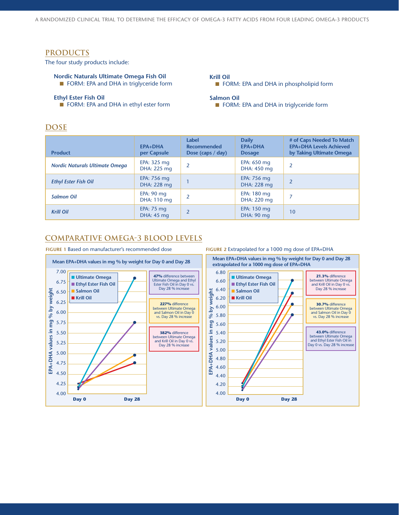## **PRODUCTS**

The four study products include:

**Nordic Naturals Ultimate Omega Fish Oil FORM: EPA and DHA in triglyceride form** 

#### **Ethyl Ester Fish Oil**

**n** FORM: EPA and DHA in ethyl ester form

# **DOSE**

**Krill Oil n** FORM: EPA and DHA in phospholipid form

#### **Salmon Oil**

**n** FORM: EPA and DHA in triglyceride form

| <b>Product</b>                        | <b>EPA+DHA</b><br>per Capsule       | Label<br><b>Recommended</b><br>Dose (caps $/$ day) | <b>Daily</b><br><b>EPA+DHA</b><br><b>Dosage</b> | # of Caps Needed To Match<br><b>EPA+DHA Levels Achieved</b><br>by Taking Ultimate Omega |
|---------------------------------------|-------------------------------------|----------------------------------------------------|-------------------------------------------------|-----------------------------------------------------------------------------------------|
| <b>Nordic Naturals Ultimate Omega</b> | EPA: $325$ mg<br>DHA: 225 mg        |                                                    | EPA: 650 mg<br>DHA: 450 mg                      | $\overline{2}$                                                                          |
| <b>Ethyl Ester Fish Oil</b>           | EPA: 756 mg<br>DHA: 228 mg          |                                                    | EPA: 756 mg<br>DHA: 228 mg                      | $\overline{2}$                                                                          |
| <b>Salmon Oil</b>                     | EPA: $90 \text{ mg}$<br>DHA: 110 mg | $\mathfrak z$                                      | EPA: 180 mg<br>DHA: 220 mg                      |                                                                                         |
| <b>Krill Oil</b>                      | EPA: $75 \text{ mg}$<br>DHA: 45 mg  | $\overline{2}$                                     | EPA: 150 mg<br>DHA: 90 mg                       | 10                                                                                      |

# **COMPARATIVE OMEGA-3 BLOOD LEVELS**

**FIGURE 1** Based on manufacturer's recommended dose